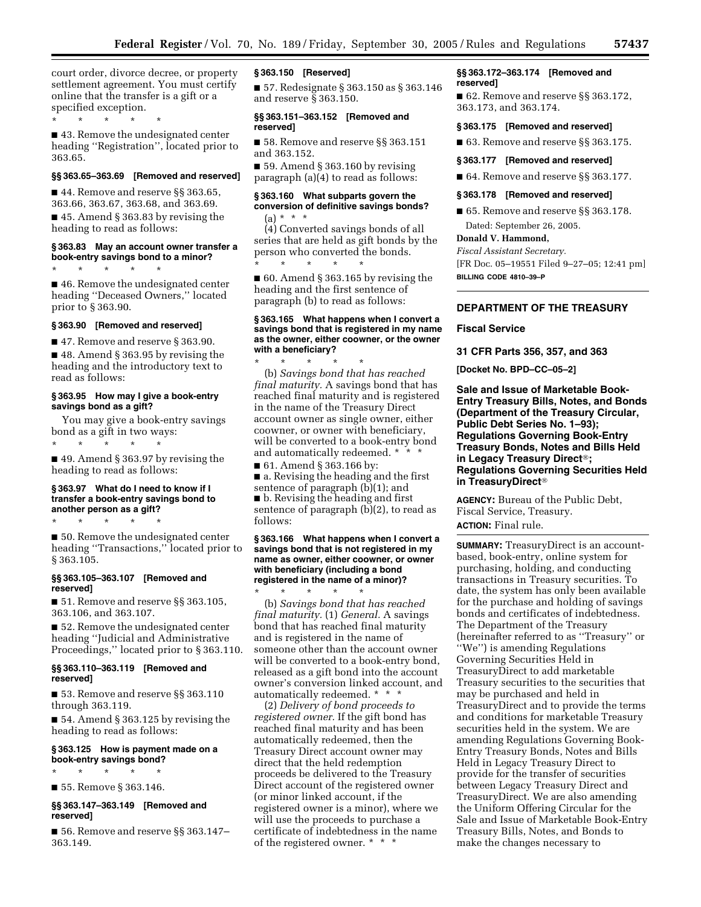court order, divorce decree, or property settlement agreement. You must certify online that the transfer is a gift or a specified exception.

\* \* \* \* \*

■ 43. Remove the undesignated center heading ''Registration'', located prior to 363.65.

# **§§ 363.65–363.69 [Removed and reserved]**

■ 44. Remove and reserve §§ 363.65, 363.66, 363.67, 363.68, and 363.69.

■ 45. Amend § 363.83 by revising the heading to read as follows:

### **§ 363.83 May an account owner transfer a book-entry savings bond to a minor?**

\* \* \* \* \*

■ 46. Remove the undesignated center heading ''Deceased Owners,'' located prior to § 363.90.

### **§ 363.90 [Removed and reserved]**

■ 47. Remove and reserve § 363.90.

■ 48. Amend § 363.95 by revising the heading and the introductory text to read as follows:

### **§ 363.95 How may I give a book-entry savings bond as a gift?**

You may give a book-entry savings bond as a gift in two ways:

\* \* \* \* \*

■ 49. Amend § 363.97 by revising the heading to read as follows:

### **§ 363.97 What do I need to know if I transfer a book-entry savings bond to another person as a gift?**

\* \* \* \* \*

■ 50. Remove the undesignated center heading ''Transactions,'' located prior to § 363.105.

### **§§ 363.105–363.107 [Removed and reserved]**

■ 51. Remove and reserve §§ 363.105, 363.106, and 363.107.

■ 52. Remove the undesignated center heading ''Judicial and Administrative Proceedings,'' located prior to § 363.110.

### **§§ 363.110–363.119 [Removed and reserved]**

■ 53. Remove and reserve §§ 363.110 through 363.119.

■ 54. Amend § 363.125 by revising the heading to read as follows:

### **§ 363.125 How is payment made on a book-entry savings bond?**

\* \* \* \* \*

■ 55. Remove § 363.146.

### **§§ 363.147–363.149 [Removed and reserved]**

■ 56. Remove and reserve §§ 363.147-363.149.

### **§ 363.150 [Reserved]**

■ 57. Redesignate § 363.150 as § 363.146 and reserve § 363.150.

#### **§§ 363.151–363.152 [Removed and reserved]**

■ 58. Remove and reserve §§ 363.151 and 363.152.

 $\blacksquare$  59. Amend § 363.160 by revising paragraph (a)(4) to read as follows:

# **§ 363.160 What subparts govern the conversion of definitive savings bonds?**   $(a) * * * *$

(4) Converted savings bonds of all series that are held as gift bonds by the person who converted the bonds. \* \* \* \* \*

■ 60. Amend § 363.165 by revising the heading and the first sentence of paragraph (b) to read as follows:

### **§ 363.165 What happens when I convert a savings bond that is registered in my name as the owner, either coowner, or the owner with a beneficiary?**

\* \* \* \* \* (b) *Savings bond that has reached final maturity.* A savings bond that has reached final maturity and is registered in the name of the Treasury Direct account owner as single owner, either coowner, or owner with beneficiary, will be converted to a book-entry bond and automatically redeemed. \* \* \*

■ 61. Amend § 363.166 by: ■ a. Revising the heading and the first sentence of paragraph (b)(1); and ■ b. Revising the heading and first sentence of paragraph (b)(2), to read as follows:

### **§ 363.166 What happens when I convert a savings bond that is not registered in my name as owner, either coowner, or owner with beneficiary (including a bond registered in the name of a minor)?**

\* \* \* \* \* (b) *Savings bond that has reached final maturity.* (1) *General.* A savings bond that has reached final maturity and is registered in the name of someone other than the account owner will be converted to a book-entry bond, released as a gift bond into the account owner's conversion linked account, and automatically redeemed. \* \* \*

(2) *Delivery of bond proceeds to registered owner.* If the gift bond has reached final maturity and has been automatically redeemed, then the Treasury Direct account owner may direct that the held redemption proceeds be delivered to the Treasury Direct account of the registered owner (or minor linked account, if the registered owner is a minor), where we will use the proceeds to purchase a certificate of indebtedness in the name of the registered owner. \* \* \*

### **§§ 363.172–363.174 [Removed and reserved]**

■ 62. Remove and reserve §§ 363.172, 363.173, and 363.174.

### **§ 363.175 [Removed and reserved]**

■ 63. Remove and reserve §§ 363.175.

#### **§ 363.177 [Removed and reserved]**

■ 64. Remove and reserve §§ 363.177.

#### **§ 363.178 [Removed and reserved]**

■ 65. Remove and reserve §§ 363.178. Dated: September 26, 2005.

# **Donald V. Hammond,**

*Fiscal Assistant Secretary.* 

[FR Doc. 05–19551 Filed 9–27–05; 12:41 pm] **BILLING CODE 4810–39–P** 

# **DEPARTMENT OF THE TREASURY**

#### **Fiscal Service**

**31 CFR Parts 356, 357, and 363** 

**[Docket No. BPD–CC–05–2]** 

**Sale and Issue of Marketable Book-Entry Treasury Bills, Notes, and Bonds (Department of the Treasury Circular, Public Debt Series No. 1–93); Regulations Governing Book-Entry Treasury Bonds, Notes and Bills Held**  in Legacy Treasury Direct<sup>®</sup>; **Regulations Governing Securities Held in TreasuryDirect**

**AGENCY:** Bureau of the Public Debt, Fiscal Service, Treasury. **ACTION:** Final rule.

**SUMMARY:** TreasuryDirect is an accountbased, book-entry, online system for purchasing, holding, and conducting transactions in Treasury securities. To date, the system has only been available for the purchase and holding of savings bonds and certificates of indebtedness. The Department of the Treasury (hereinafter referred to as ''Treasury'' or ''We'') is amending Regulations Governing Securities Held in TreasuryDirect to add marketable Treasury securities to the securities that may be purchased and held in TreasuryDirect and to provide the terms and conditions for marketable Treasury securities held in the system. We are amending Regulations Governing Book-Entry Treasury Bonds, Notes and Bills Held in Legacy Treasury Direct to provide for the transfer of securities between Legacy Treasury Direct and TreasuryDirect. We are also amending the Uniform Offering Circular for the Sale and Issue of Marketable Book-Entry Treasury Bills, Notes, and Bonds to make the changes necessary to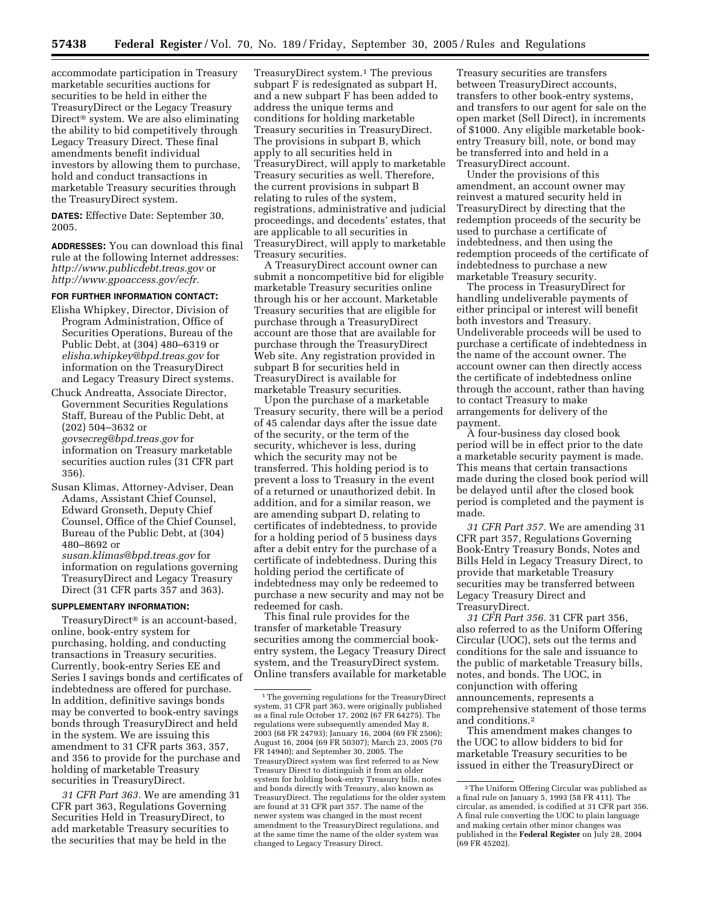accommodate participation in Treasury marketable securities auctions for securities to be held in either the TreasuryDirect or the Legacy Treasury Direct<sup>®</sup> system. We are also eliminating the ability to bid competitively through Legacy Treasury Direct. These final amendments benefit individual investors by allowing them to purchase, hold and conduct transactions in marketable Treasury securities through the TreasuryDirect system.

**DATES:** Effective Date: September 30, 2005.

**ADDRESSES:** You can download this final rule at the following Internet addresses: *<http://www.publicdebt.treas.gov>*or *[http://www.gpoaccess.gov/ecfr.](http://www.gpoaccess.gov/ecfr)* 

# **FOR FURTHER INFORMATION CONTACT:**

- Elisha Whipkey, Director, Division of Program Administration, Office of Securities Operations, Bureau of the Public Debt, at (304) 480–6319 or *[elisha.whipkey@bpd.treas.gov](mailto:elisha.whipkey@bpd.treas.gov)* for information on the TreasuryDirect and Legacy Treasury Direct systems.
- Chuck Andreatta, Associate Director, Government Securities Regulations Staff, Bureau of the Public Debt, at (202) 504–3632 or *[govsecreg@bpd.treas.gov](mailto:govsecreg@bpd.treas.gov)* for information on Treasury marketable securities auction rules (31 CFR part 356).
- Susan Klimas, Attorney-Adviser, Dean Adams, Assistant Chief Counsel, Edward Gronseth, Deputy Chief Counsel, Office of the Chief Counsel, Bureau of the Public Debt, at (304) 480–8692 or *[susan.klimas@bpd.treas.gov](mailto:susan.klimas@bpd.treas.gov)* for

information on regulations governing TreasuryDirect and Legacy Treasury Direct (31 CFR parts 357 and 363).

#### **SUPPLEMENTARY INFORMATION:**

 $TreasurvDirect<sup>®</sup>$  is an account-based, online, book-entry system for purchasing, holding, and conducting transactions in Treasury securities. Currently, book-entry Series EE and Series I savings bonds and certificates of indebtedness are offered for purchase. In addition, definitive savings bonds may be converted to book-entry savings bonds through TreasuryDirect and held in the system. We are issuing this amendment to 31 CFR parts 363, 357, and 356 to provide for the purchase and holding of marketable Treasury securities in TreasuryDirect.

*31 CFR Part 363.* We are amending 31 CFR part 363, Regulations Governing Securities Held in TreasuryDirect, to add marketable Treasury securities to the securities that may be held in the

TreasuryDirect system.<sup>1</sup> The previous subpart F is redesignated as subpart H, and a new subpart F has been added to address the unique terms and conditions for holding marketable Treasury securities in TreasuryDirect. The provisions in subpart B, which apply to all securities held in TreasuryDirect, will apply to marketable Treasury securities as well. Therefore, the current provisions in subpart B relating to rules of the system, registrations, administrative and judicial proceedings, and decedents' estates, that are applicable to all securities in TreasuryDirect, will apply to marketable Treasury securities.

A TreasuryDirect account owner can submit a noncompetitive bid for eligible marketable Treasury securities online through his or her account. Marketable Treasury securities that are eligible for purchase through a TreasuryDirect account are those that are available for purchase through the TreasuryDirect Web site. Any registration provided in subpart B for securities held in TreasuryDirect is available for marketable Treasury securities.

Upon the purchase of a marketable Treasury security, there will be a period of 45 calendar days after the issue date of the security, or the term of the security, whichever is less, during which the security may not be transferred. This holding period is to prevent a loss to Treasury in the event of a returned or unauthorized debit. In addition, and for a similar reason, we are amending subpart D, relating to certificates of indebtedness, to provide for a holding period of 5 business days after a debit entry for the purchase of a certificate of indebtedness. During this holding period the certificate of indebtedness may only be redeemed to purchase a new security and may not be redeemed for cash.

This final rule provides for the transfer of marketable Treasury securities among the commercial bookentry system, the Legacy Treasury Direct system, and the TreasuryDirect system. Online transfers available for marketable

Treasury securities are transfers between TreasuryDirect accounts, transfers to other book-entry systems, and transfers to our agent for sale on the open market (Sell Direct), in increments of \$1000. Any eligible marketable bookentry Treasury bill, note, or bond may be transferred into and held in a TreasuryDirect account.

Under the provisions of this amendment, an account owner may reinvest a matured security held in TreasuryDirect by directing that the redemption proceeds of the security be used to purchase a certificate of indebtedness, and then using the redemption proceeds of the certificate of indebtedness to purchase a new marketable Treasury security.

The process in TreasuryDirect for handling undeliverable payments of either principal or interest will benefit both investors and Treasury. Undeliverable proceeds will be used to purchase a certificate of indebtedness in the name of the account owner. The account owner can then directly access the certificate of indebtedness online through the account, rather than having to contact Treasury to make arrangements for delivery of the payment.

A four-business day closed book period will be in effect prior to the date a marketable security payment is made. This means that certain transactions made during the closed book period will be delayed until after the closed book period is completed and the payment is made.

*31 CFR Part 357.* We are amending 31 CFR part 357, Regulations Governing Book-Entry Treasury Bonds, Notes and Bills Held in Legacy Treasury Direct, to provide that marketable Treasury securities may be transferred between Legacy Treasury Direct and TreasuryDirect.

*31 CFR Part 356.* 31 CFR part 356, also referred to as the Uniform Offering Circular (UOC), sets out the terms and conditions for the sale and issuance to the public of marketable Treasury bills, notes, and bonds. The UOC, in conjunction with offering announcements, represents a comprehensive statement of those terms and conditions.2

This amendment makes changes to the UOC to allow bidders to bid for marketable Treasury securities to be issued in either the TreasuryDirect or

<sup>1</sup>The governing regulations for the TreasuryDirect system, 31 CFR part 363, were originally published as a final rule October 17, 2002 (67 FR 64275). The regulations were subsequently amended May 8, 2003 (68 FR 24793); January 16, 2004 (69 FR 2506); August 16, 2004 (69 FR 50307); March 23, 2005 (70 FR 14940); and September 30, 2005. The TreasuryDirect system was first referred to as New Treasury Direct to distinguish it from an older system for holding book-entry Treasury bills, notes and bonds directly with Treasury, also known as TreasuryDirect. The regulations for the older system are found at 31 CFR part 357. The name of the newer system was changed in the most recent amendment to the TreasuryDirect regulations, and at the same time the name of the older system was changed to Legacy Treasury Direct.

<sup>2</sup>The Uniform Offering Circular was published as a final rule on January 5, 1993 (58 FR 411). The circular, as amended, is codified at 31 CFR part 356. A final rule converting the UOC to plain language and making certain other minor changes was published in the **Federal Register** on July 28, 2004 (69 FR 45202).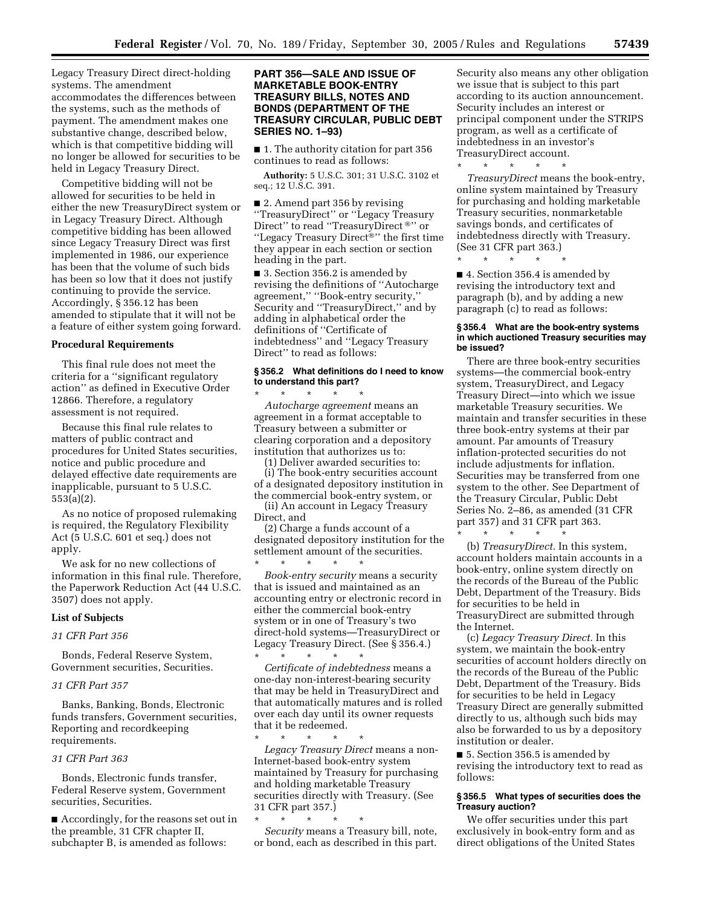Legacy Treasury Direct direct-holding systems. The amendment accommodates the differences between the systems, such as the methods of payment. The amendment makes one substantive change, described below, which is that competitive bidding will no longer be allowed for securities to be held in Legacy Treasury Direct.

Competitive bidding will not be allowed for securities to be held in either the new TreasuryDirect system or in Legacy Treasury Direct. Although competitive bidding has been allowed since Legacy Treasury Direct was first implemented in 1986, our experience has been that the volume of such bids has been so low that it does not justify continuing to provide the service. Accordingly, § 356.12 has been amended to stipulate that it will not be a feature of either system going forward.

### **Procedural Requirements**

This final rule does not meet the criteria for a ''significant regulatory action'' as defined in Executive Order 12866. Therefore, a regulatory assessment is not required.

Because this final rule relates to matters of public contract and procedures for United States securities, notice and public procedure and delayed effective date requirements are inapplicable, pursuant to 5 U.S.C. 553(a)(2).

As no notice of proposed rulemaking is required, the Regulatory Flexibility Act (5 U.S.C. 601 et seq.) does not apply.

We ask for no new collections of information in this final rule. Therefore, the Paperwork Reduction Act (44 U.S.C. 3507) does not apply.

### **List of Subjects**

### *31 CFR Part 356*

Bonds, Federal Reserve System, Government securities, Securities.

#### *31 CFR Part 357*

Banks, Banking, Bonds, Electronic funds transfers, Government securities, Reporting and recordkeeping requirements.

### *31 CFR Part 363*

Bonds, Electronic funds transfer, Federal Reserve system, Government securities, Securities.

■ Accordingly, for the reasons set out in the preamble, 31 CFR chapter II, subchapter B, is amended as follows:

# **PART 356—SALE AND ISSUE OF MARKETABLE BOOK-ENTRY TREASURY BILLS, NOTES AND BONDS (DEPARTMENT OF THE TREASURY CIRCULAR, PUBLIC DEBT SERIES NO. 1–93)**

■ 1. The authority citation for part 356 continues to read as follows:

**Authority:** 5 U.S.C. 301; 31 U.S.C. 3102 et seq.; 12 U.S.C. 391.

■ 2. Amend part 356 by revising ''TreasuryDirect'' or ''Legacy Treasury Direct" to read "TreasuryDirect ®" or "Legacy Treasury Direct<sup>®"</sup> the first time they appear in each section or section heading in the part.

■ 3. Section 356.2 is amended by revising the definitions of ''Autocharge agreement,'' ''Book-entry security,'' Security and "TreasuryDirect," and by adding in alphabetical order the definitions of ''Certificate of indebtedness'' and ''Legacy Treasury Direct'' to read as follows:

### **§ 356.2 What definitions do I need to know to understand this part?**

\* \* \* \* \* *Autocharge agreement* means an agreement in a format acceptable to Treasury between a submitter or clearing corporation and a depository institution that authorizes us to:

(1) Deliver awarded securities to: (i) The book-entry securities account of a designated depository institution in the commercial book-entry system, or

(ii) An account in Legacy Treasury Direct, and

(2) Charge a funds account of a designated depository institution for the settlement amount of the securities.

\* \* \* \* \* *Book-entry security* means a security that is issued and maintained as an accounting entry or electronic record in either the commercial book-entry system or in one of Treasury's two direct-hold systems—TreasuryDirect or Legacy Treasury Direct. (See § 356.4.) \* \* \* \* \*

*Certificate of indebtedness* means a one-day non-interest-bearing security that may be held in TreasuryDirect and that automatically matures and is rolled over each day until its owner requests that it be redeemed.

\* \* \* \* \* *Legacy Treasury Direct* means a non-Internet-based book-entry system maintained by Treasury for purchasing and holding marketable Treasury securities directly with Treasury. (See 31 CFR part 357.)

\* \* \* \* \* *Security* means a Treasury bill, note, or bond, each as described in this part.

Security also means any other obligation we issue that is subject to this part according to its auction announcement. Security includes an interest or principal component under the STRIPS program, as well as a certificate of indebtedness in an investor's TreasuryDirect account.

\* \* \* \* \* *TreasuryDirect* means the book-entry, online system maintained by Treasury for purchasing and holding marketable Treasury securities, nonmarketable savings bonds, and certificates of indebtedness directly with Treasury. (See 31 CFR part 363.)

\* \* \* \* \*

■ 4. Section 356.4 is amended by revising the introductory text and paragraph (b), and by adding a new paragraph (c) to read as follows:

### **§ 356.4 What are the book-entry systems in which auctioned Treasury securities may be issued?**

There are three book-entry securities systems—the commercial book-entry system, TreasuryDirect, and Legacy Treasury Direct—into which we issue marketable Treasury securities. We maintain and transfer securities in these three book-entry systems at their par amount. Par amounts of Treasury inflation-protected securities do not include adjustments for inflation. Securities may be transferred from one system to the other. See Department of the Treasury Circular, Public Debt Series No. 2–86, as amended (31 CFR part 357) and 31 CFR part 363.

\* \* \* \* \*

(b) *TreasuryDirect.* In this system, account holders maintain accounts in a book-entry, online system directly on the records of the Bureau of the Public Debt, Department of the Treasury. Bids for securities to be held in TreasuryDirect are submitted through the Internet.

(c) *Legacy Treasury Direct.* In this system, we maintain the book-entry securities of account holders directly on the records of the Bureau of the Public Debt, Department of the Treasury. Bids for securities to be held in Legacy Treasury Direct are generally submitted directly to us, although such bids may also be forwarded to us by a depository institution or dealer.

■ 5. Section 356.5 is amended by revising the introductory text to read as follows:

# **§ 356.5 What types of securities does the Treasury auction?**

We offer securities under this part exclusively in book-entry form and as direct obligations of the United States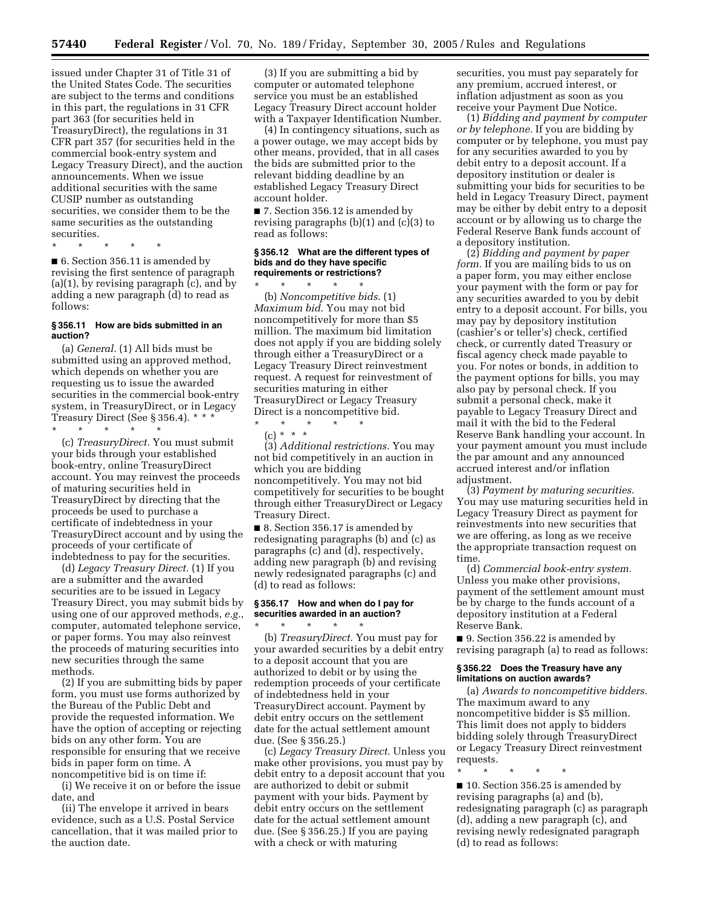issued under Chapter 31 of Title 31 of the United States Code. The securities are subject to the terms and conditions in this part, the regulations in 31 CFR part 363 (for securities held in TreasuryDirect), the regulations in 31 CFR part 357 (for securities held in the commercial book-entry system and Legacy Treasury Direct), and the auction announcements. When we issue additional securities with the same CUSIP number as outstanding securities, we consider them to be the same securities as the outstanding securities.

\* \* \* \* \*

■ 6. Section 356.11 is amended by revising the first sentence of paragraph (a)(1), by revising paragraph (c), and by adding a new paragraph (d) to read as follows:

### **§ 356.11 How are bids submitted in an auction?**

(a) *General.* (1) All bids must be submitted using an approved method, which depends on whether you are requesting us to issue the awarded securities in the commercial book-entry system, in TreasuryDirect, or in Legacy Treasury Direct (See § 356.4). \* \* \*

\* \* \* \* \* (c) *TreasuryDirect.* You must submit your bids through your established book-entry, online TreasuryDirect account. You may reinvest the proceeds of maturing securities held in TreasuryDirect by directing that the proceeds be used to purchase a certificate of indebtedness in your TreasuryDirect account and by using the proceeds of your certificate of indebtedness to pay for the securities.

(d) *Legacy Treasury Direct.* (1) If you are a submitter and the awarded securities are to be issued in Legacy Treasury Direct, you may submit bids by using one of our approved methods, *e.g.*, computer, automated telephone service, or paper forms. You may also reinvest the proceeds of maturing securities into new securities through the same methods.

(2) If you are submitting bids by paper form, you must use forms authorized by the Bureau of the Public Debt and provide the requested information. We have the option of accepting or rejecting bids on any other form. You are responsible for ensuring that we receive bids in paper form on time. A noncompetitive bid is on time if:

(i) We receive it on or before the issue date, and

(ii) The envelope it arrived in bears evidence, such as a U.S. Postal Service cancellation, that it was mailed prior to the auction date.

(3) If you are submitting a bid by computer or automated telephone service you must be an established Legacy Treasury Direct account holder with a Taxpayer Identification Number.

(4) In contingency situations, such as a power outage, we may accept bids by other means, provided, that in all cases the bids are submitted prior to the relevant bidding deadline by an established Legacy Treasury Direct account holder.

■ 7. Section 356.12 is amended by revising paragraphs (b)(1) and (c)(3) to read as follows:

# **§ 356.12 What are the different types of bids and do they have specific requirements or restrictions?**

\* \* \* \* \* (b) *Noncompetitive bids*. (1) *Maximum bid*. You may not bid noncompetitively for more than \$5 million. The maximum bid limitation does not apply if you are bidding solely through either a TreasuryDirect or a Legacy Treasury Direct reinvestment request. A request for reinvestment of securities maturing in either TreasuryDirect or Legacy Treasury Direct is a noncompetitive bid.

(c) \* \* \* (3) *Additional restrictions.* You may not bid competitively in an auction in which you are bidding noncompetitively. You may not bid competitively for securities to be bought through either TreasuryDirect or Legacy Treasury Direct.

\* \* \* \* \*

■ 8. Section 356.17 is amended by redesignating paragraphs (b) and (c) as paragraphs (c) and (d), respectively, adding new paragraph (b) and revising newly redesignated paragraphs (c) and (d) to read as follows:

# **§ 356.17 How and when do I pay for securities awarded in an auction?**

\* \* \* \* \* (b) *TreasuryDirect.* You must pay for your awarded securities by a debit entry to a deposit account that you are authorized to debit or by using the redemption proceeds of your certificate of indebtedness held in your TreasuryDirect account. Payment by debit entry occurs on the settlement date for the actual settlement amount due. (See § 356.25.)

(c) *Legacy Treasury Direct.* Unless you make other provisions, you must pay by debit entry to a deposit account that you are authorized to debit or submit payment with your bids. Payment by debit entry occurs on the settlement date for the actual settlement amount due. (See § 356.25.) If you are paying with a check or with maturing

securities, you must pay separately for any premium, accrued interest, or inflation adjustment as soon as you receive your Payment Due Notice.

(1) *Bidding and payment by computer or by telephone.* If you are bidding by computer or by telephone, you must pay for any securities awarded to you by debit entry to a deposit account. If a depository institution or dealer is submitting your bids for securities to be held in Legacy Treasury Direct, payment may be either by debit entry to a deposit account or by allowing us to charge the Federal Reserve Bank funds account of a depository institution.

(2) *Bidding and payment by paper form.* If you are mailing bids to us on a paper form, you may either enclose your payment with the form or pay for any securities awarded to you by debit entry to a deposit account. For bills, you may pay by depository institution (cashier's or teller's) check, certified check, or currently dated Treasury or fiscal agency check made payable to you. For notes or bonds, in addition to the payment options for bills, you may also pay by personal check. If you submit a personal check, make it payable to Legacy Treasury Direct and mail it with the bid to the Federal Reserve Bank handling your account. In your payment amount you must include the par amount and any announced accrued interest and/or inflation adjustment.

(3) *Payment by maturing securities.*  You may use maturing securities held in Legacy Treasury Direct as payment for reinvestments into new securities that we are offering, as long as we receive the appropriate transaction request on time.

(d) *Commercial book-entry system.*  Unless you make other provisions, payment of the settlement amount must be by charge to the funds account of a depository institution at a Federal Reserve Bank.

■ 9. Section 356.22 is amended by revising paragraph (a) to read as follows:

### **§ 356.22 Does the Treasury have any limitations on auction awards?**

(a) *Awards to noncompetitive bidders.*  The maximum award to any noncompetitive bidder is \$5 million. This limit does not apply to bidders bidding solely through TreasuryDirect or Legacy Treasury Direct reinvestment requests.

\* \* \* \* \* ■ 10. Section 356.25 is amended by revising paragraphs (a) and (b), redesignating paragraph (c) as paragraph (d), adding a new paragraph (c), and revising newly redesignated paragraph (d) to read as follows: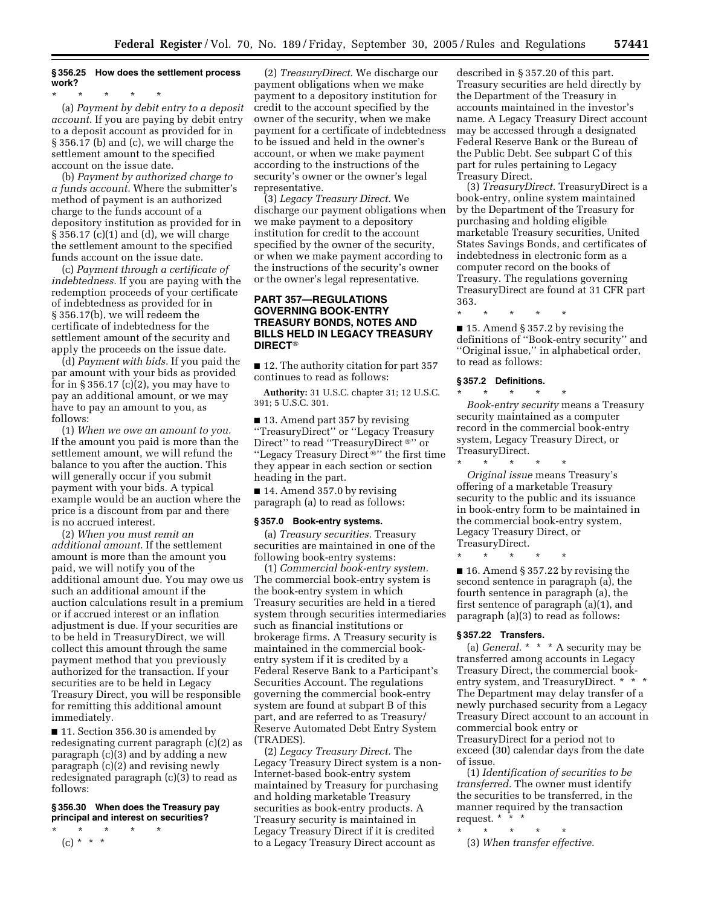### **§ 356.25 How does the settlement process work?**

\* \* \* \* \* (a) *Payment by debit entry to a deposit account.* If you are paying by debit entry to a deposit account as provided for in § 356.17 (b) and (c), we will charge the settlement amount to the specified account on the issue date.

(b) *Payment by authorized charge to a funds account.* Where the submitter's method of payment is an authorized charge to the funds account of a depository institution as provided for in § 356.17 (c)(1) and (d), we will charge the settlement amount to the specified funds account on the issue date.

(c) *Payment through a certificate of indebtedness.* If you are paying with the redemption proceeds of your certificate of indebtedness as provided for in § 356.17(b), we will redeem the certificate of indebtedness for the settlement amount of the security and apply the proceeds on the issue date.

(d) *Payment with bids.* If you paid the par amount with your bids as provided for in § 356.17 (c)(2), you may have to pay an additional amount, or we may have to pay an amount to you, as follows:

(1) *When we owe an amount to you.*  If the amount you paid is more than the settlement amount, we will refund the balance to you after the auction. This will generally occur if you submit payment with your bids. A typical example would be an auction where the price is a discount from par and there is no accrued interest.

(2) *When you must remit an additional amount.* If the settlement amount is more than the amount you paid, we will notify you of the additional amount due. You may owe us such an additional amount if the auction calculations result in a premium or if accrued interest or an inflation adjustment is due. If your securities are to be held in TreasuryDirect, we will collect this amount through the same payment method that you previously authorized for the transaction. If your securities are to be held in Legacy Treasury Direct, you will be responsible for remitting this additional amount immediately.

■ 11. Section 356.30 is amended by redesignating current paragraph (c)(2) as paragraph (c)(3) and by adding a new paragraph (c)(2) and revising newly redesignated paragraph (c)(3) to read as follows:

# **§ 356.30 When does the Treasury pay principal and interest on securities?**

\* \* \* \* \* (c) \* \* \*

(2) *TreasuryDirect.* We discharge our payment obligations when we make payment to a depository institution for credit to the account specified by the owner of the security, when we make payment for a certificate of indebtedness to be issued and held in the owner's account, or when we make payment according to the instructions of the security's owner or the owner's legal representative.

(3) *Legacy Treasury Direct.* We discharge our payment obligations when we make payment to a depository institution for credit to the account specified by the owner of the security, or when we make payment according to the instructions of the security's owner or the owner's legal representative.

# **PART 357—REGULATIONS GOVERNING BOOK-ENTRY TREASURY BONDS, NOTES AND BILLS HELD IN LEGACY TREASURY DIRECT**

■ 12. The authority citation for part 357 continues to read as follows:

**Authority:** 31 U.S.C. chapter 31; 12 U.S.C. 391; 5 U.S.C. 301.

■ 13. Amend part 357 by revising ''TreasuryDirect'' or ''Legacy Treasury Direct" to read "TreasuryDirect ®" or "Legacy Treasury Direct<sup>®"</sup> the first time they appear in each section or section heading in the part.

■ 14. Amend 357.0 by revising paragraph (a) to read as follows:

### **§ 357.0 Book-entry systems.**

(a) *Treasury securities.* Treasury securities are maintained in one of the following book-entry systems:

(1) *Commercial book-entry system.*  The commercial book-entry system is the book-entry system in which Treasury securities are held in a tiered system through securities intermediaries such as financial institutions or brokerage firms. A Treasury security is maintained in the commercial bookentry system if it is credited by a Federal Reserve Bank to a Participant's Securities Account. The regulations governing the commercial book-entry system are found at subpart B of this part, and are referred to as Treasury/ Reserve Automated Debt Entry System (TRADES).

(2) *Legacy Treasury Direct.* The Legacy Treasury Direct system is a non-Internet-based book-entry system maintained by Treasury for purchasing and holding marketable Treasury securities as book-entry products. A Treasury security is maintained in Legacy Treasury Direct if it is credited to a Legacy Treasury Direct account as

described in § 357.20 of this part. Treasury securities are held directly by the Department of the Treasury in accounts maintained in the investor's name. A Legacy Treasury Direct account may be accessed through a designated Federal Reserve Bank or the Bureau of the Public Debt. See subpart C of this part for rules pertaining to Legacy Treasury Direct.

(3) *TreasuryDirect.* TreasuryDirect is a book-entry, online system maintained by the Department of the Treasury for purchasing and holding eligible marketable Treasury securities, United States Savings Bonds, and certificates of indebtedness in electronic form as a computer record on the books of Treasury. The regulations governing TreasuryDirect are found at 31 CFR part 363.

\* \* \* \* \*

■ 15. Amend § 357.2 by revising the definitions of ''Book-entry security'' and ''Original issue,'' in alphabetical order, to read as follows:

#### **§ 357.2 Definitions.**

\* \* \* \* \* *Book-entry security* means a Treasury security maintained as a computer record in the commercial book-entry system, Legacy Treasury Direct, or TreasuryDirect.

\* \* \* \* \* *Original issue* means Treasury's offering of a marketable Treasury security to the public and its issuance in book-entry form to be maintained in the commercial book-entry system, Legacy Treasury Direct, or TreasuryDirect.

\* \* \* \* \* ■ 16. Amend § 357.22 by revising the second sentence in paragraph (a), the fourth sentence in paragraph (a), the first sentence of paragraph (a)(1), and paragraph (a)(3) to read as follows:

# **§ 357.22 Transfers.**

(a) *General.* \* \* \* A security may be transferred among accounts in Legacy Treasury Direct, the commercial bookentry system, and TreasuryDirect. \* \* \* The Department may delay transfer of a newly purchased security from a Legacy Treasury Direct account to an account in commercial book entry or TreasuryDirect for a period not to exceed (30) calendar days from the date of issue.

(1) *Identification of securities to be transferred.* The owner must identify the securities to be transferred, in the manner required by the transaction request. \* \* \*

\* \* \* \* \*

(3) *When transfer effective.*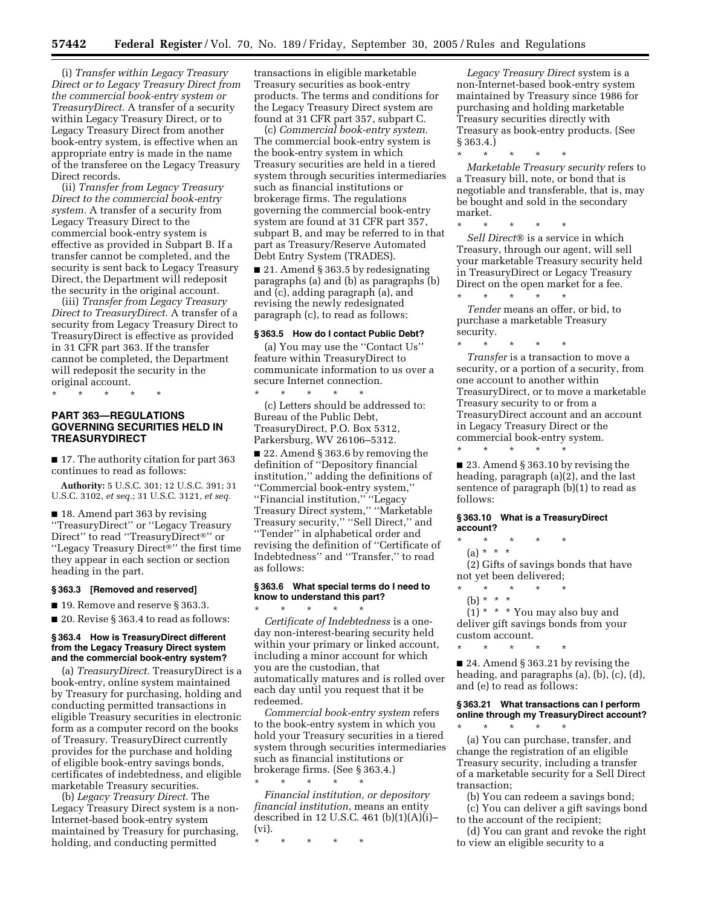(i) *Transfer within Legacy Treasury Direct or to Legacy Treasury Direct from the commercial book-entry system or TreasuryDirect.* A transfer of a security within Legacy Treasury Direct, or to Legacy Treasury Direct from another book-entry system, is effective when an appropriate entry is made in the name of the transferee on the Legacy Treasury Direct records.

(ii) *Transfer from Legacy Treasury Direct to the commercial book-entry system.* A transfer of a security from Legacy Treasury Direct to the commercial book-entry system is effective as provided in Subpart B. If a transfer cannot be completed, and the security is sent back to Legacy Treasury Direct, the Department will redeposit the security in the original account.

(iii) *Transfer from Legacy Treasury Direct to TreasuryDirect.* A transfer of a security from Legacy Treasury Direct to TreasuryDirect is effective as provided in 31 CFR part 363. If the transfer cannot be completed, the Department will redeposit the security in the original account.

\* \* \* \* \*

# **PART 363—REGULATIONS GOVERNING SECURITIES HELD IN TREASURYDIRECT**

■ 17. The authority citation for part 363 continues to read as follows:

**Authority:** 5 U.S.C. 301; 12 U.S.C. 391; 31 U.S.C. 3102, *et seq.*; 31 U.S.C. 3121, *et seq.* 

■ 18. Amend part 363 by revising ''TreasuryDirect'' or ''Legacy Treasury Direct" to read "TreasuryDirect®" or "Legacy Treasury Direct<sup>®</sup>" the first time they appear in each section or section heading in the part.

### **§ 363.3 [Removed and reserved]**

■ 19. Remove and reserve § 363.3.

■ 20. Revise § 363.4 to read as follows:

### **§ 363.4 How is TreasuryDirect different from the Legacy Treasury Direct system and the commercial book-entry system?**

(a) *TreasuryDirect.* TreasuryDirect is a book-entry, online system maintained by Treasury for purchasing, holding and conducting permitted transactions in eligible Treasury securities in electronic form as a computer record on the books of Treasury. TreasuryDirect currently provides for the purchase and holding of eligible book-entry savings bonds, certificates of indebtedness, and eligible marketable Treasury securities.

(b) *Legacy Treasury Direct.* The Legacy Treasury Direct system is a non-Internet-based book-entry system maintained by Treasury for purchasing, holding, and conducting permitted

transactions in eligible marketable Treasury securities as book-entry products. The terms and conditions for the Legacy Treasury Direct system are found at 31 CFR part 357, subpart C.

(c) *Commercial book-entry system.*  The commercial book-entry system is the book-entry system in which Treasury securities are held in a tiered system through securities intermediaries such as financial institutions or brokerage firms. The regulations governing the commercial book-entry system are found at 31 CFR part 357, subpart B, and may be referred to in that part as Treasury/Reserve Automated Debt Entry System (TRADES).

■ 21. Amend § 363.5 by redesignating paragraphs (a) and (b) as paragraphs (b) and (c), adding paragraph (a), and revising the newly redesignated paragraph (c), to read as follows:

### **§ 363.5 How do I contact Public Debt?**

(a) You may use the ''Contact Us'' feature within TreasuryDirect to communicate information to us over a secure Internet connection.

\* \* \* \* \* (c) Letters should be addressed to: Bureau of the Public Debt, TreasuryDirect, P.O. Box 5312, Parkersburg, WV 26106–5312.

■ 22. Amend § 363.6 by removing the definition of ''Depository financial institution,'' adding the definitions of ''Commercial book-entry system,'' ''Financial institution,'' ''Legacy Treasury Direct system,'' ''Marketable Treasury security," "Sell Direct," and ''Tender'' in alphabetical order and revising the definition of ''Certificate of Indebtedness'' and ''Transfer,'' to read as follows:

### **§ 363.6 What special terms do I need to know to understand this part?**  \* \* \* \* \*

*Certificate of Indebtedness* is a oneday non-interest-bearing security held within your primary or linked account, including a minor account for which you are the custodian, that automatically matures and is rolled over each day until you request that it be redeemed.

*Commercial book-entry system* refers to the book-entry system in which you hold your Treasury securities in a tiered system through securities intermediaries such as financial institutions or brokerage firms. (See § 363.4.) \* \* \* \* \*

*Financial institution, or depository financial institution*, means an entity described in 12 U.S.C. 461 (b)(1)(A)(i)– (vi).

\* \* \* \* \*

*Legacy Treasury Direct* system is a non-Internet-based book-entry system maintained by Treasury since 1986 for purchasing and holding marketable Treasury securities directly with Treasury as book-entry products. (See § 363.4.)

\* \* \* \* \*

*Marketable Treasury security* refers to a Treasury bill, note, or bond that is negotiable and transferable, that is, may be bought and sold in the secondary market.

\* \* \* \* \* *Sell Direct®* is a service in which Treasury, through our agent, will sell your marketable Treasury security held in TreasuryDirect or Legacy Treasury Direct on the open market for a fee.  $\star$   $\star$   $\star$ 

*Tender* means an offer, or bid, to purchase a marketable Treasury security.

\* \* \* \* \* *Transfer* is a transaction to move a security, or a portion of a security, from one account to another within TreasuryDirect, or to move a marketable Treasury security to or from a TreasuryDirect account and an account in Legacy Treasury Direct or the commercial book-entry system.

■ 23. Amend § 363.10 by revising the heading, paragraph (a)(2), and the last sentence of paragraph (b)(1) to read as follows:

# **§ 363.10 What is a TreasuryDirect account?**

\* \* \* \* \*

- \* \* \* \* \*
	- (a) \* \* \*

(2) Gifts of savings bonds that have not yet been delivered;

- \* \* \* \* \*
- (b) \* \* \*

 $(1)$  \* \* \* You may also buy and deliver gift savings bonds from your custom account.

\* \* \* \* \*

■ 24. Amend § 363.21 by revising the heading, and paragraphs (a), (b), (c), (d), and (e) to read as follows:

### **§ 363.21 What transactions can I perform online through my TreasuryDirect account?**  \* \* \* \* \*

(a) You can purchase, transfer, and change the registration of an eligible Treasury security, including a transfer of a marketable security for a Sell Direct transaction;

(b) You can redeem a savings bond;

(c) You can deliver a gift savings bond to the account of the recipient;

(d) You can grant and revoke the right to view an eligible security to a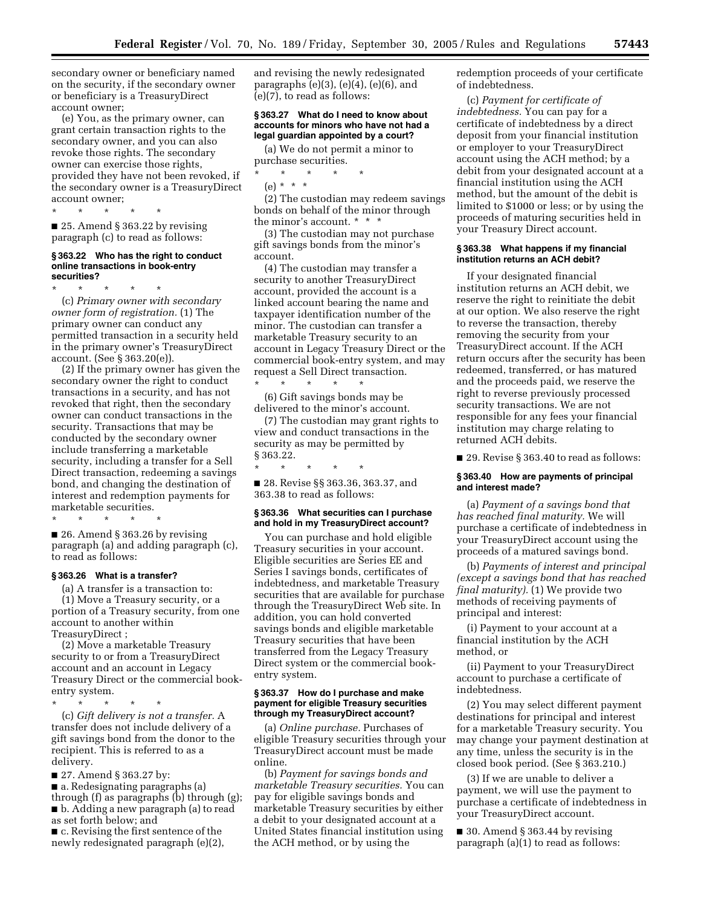secondary owner or beneficiary named on the security, if the secondary owner or beneficiary is a TreasuryDirect account owner;

(e) You, as the primary owner, can grant certain transaction rights to the secondary owner, and you can also revoke those rights. The secondary owner can exercise those rights, provided they have not been revoked, if the secondary owner is a TreasuryDirect account owner;

\* \* \* \* \*

■ 25. Amend § 363.22 by revising paragraph (c) to read as follows:

#### **§ 363.22 Who has the right to conduct online transactions in book-entry securities?**

\* \* \* \* \* (c) *Primary owner with secondary owner form of registration.* (1) The primary owner can conduct any permitted transaction in a security held in the primary owner's TreasuryDirect account. (See § 363.20(e)).

(2) If the primary owner has given the secondary owner the right to conduct transactions in a security, and has not revoked that right, then the secondary owner can conduct transactions in the security. Transactions that may be conducted by the secondary owner include transferring a marketable security, including a transfer for a Sell Direct transaction, redeeming a savings bond, and changing the destination of interest and redemption payments for marketable securities.

\* \* \* \* \*

■ 26. Amend § 363.26 by revising paragraph (a) and adding paragraph (c), to read as follows:

### **§ 363.26 What is a transfer?**

(a) A transfer is a transaction to: (1) Move a Treasury security, or a portion of a Treasury security, from one account to another within TreasuryDirect ;

(2) Move a marketable Treasury security to or from a TreasuryDirect account and an account in Legacy Treasury Direct or the commercial bookentry system.

\* \* \* \* \* (c) *Gift delivery is not a transfer.* A transfer does not include delivery of a gift savings bond from the donor to the recipient. This is referred to as a delivery.

■ 27. Amend § 363.27 by:

■ a. Redesignating paragraphs (a) through (f) as paragraphs (b) through (g); ■ b. Adding a new paragraph (a) to read as set forth below; and ■ c. Revising the first sentence of the

newly redesignated paragraph (e)(2),

and revising the newly redesignated paragraphs  $(e)(3)$ ,  $(e)(4)$ ,  $(e)(6)$ , and (e)(7), to read as follows:

### **§ 363.27 What do I need to know about accounts for minors who have not had a legal guardian appointed by a court?**

(a) We do not permit a minor to purchase securities.

\* \* \* \* \* (e) \* \* \*

(2) The custodian may redeem savings bonds on behalf of the minor through the minor's account. \* \* \*

(3) The custodian may not purchase gift savings bonds from the minor's account.

(4) The custodian may transfer a security to another TreasuryDirect account, provided the account is a linked account bearing the name and taxpayer identification number of the minor. The custodian can transfer a marketable Treasury security to an account in Legacy Treasury Direct or the commercial book-entry system, and may request a Sell Direct transaction.

\* \* \* \* \* (6) Gift savings bonds may be delivered to the minor's account.

(7) The custodian may grant rights to view and conduct transactions in the security as may be permitted by § 363.22.

■ 28. Revise §§ 363.36, 363.37, and 363.38 to read as follows:

\* \* \* \* \*

#### **§ 363.36 What securities can I purchase and hold in my TreasuryDirect account?**

You can purchase and hold eligible Treasury securities in your account. Eligible securities are Series EE and Series I savings bonds, certificates of indebtedness, and marketable Treasury securities that are available for purchase through the TreasuryDirect Web site. In addition, you can hold converted savings bonds and eligible marketable Treasury securities that have been transferred from the Legacy Treasury Direct system or the commercial bookentry system.

### **§ 363.37 How do I purchase and make payment for eligible Treasury securities through my TreasuryDirect account?**

(a) *Online purchase.* Purchases of eligible Treasury securities through your TreasuryDirect account must be made online.

(b) *Payment for savings bonds and marketable Treasury securities.* You can pay for eligible savings bonds and marketable Treasury securities by either a debit to your designated account at a United States financial institution using the ACH method, or by using the

redemption proceeds of your certificate of indebtedness.

(c) *Payment for certificate of indebtedness.* You can pay for a certificate of indebtedness by a direct deposit from your financial institution or employer to your TreasuryDirect account using the ACH method; by a debit from your designated account at a financial institution using the ACH method, but the amount of the debit is limited to \$1000 or less; or by using the proceeds of maturing securities held in your Treasury Direct account.

### **§ 363.38 What happens if my financial institution returns an ACH debit?**

If your designated financial institution returns an ACH debit, we reserve the right to reinitiate the debit at our option. We also reserve the right to reverse the transaction, thereby removing the security from your TreasuryDirect account. If the ACH return occurs after the security has been redeemed, transferred, or has matured and the proceeds paid, we reserve the right to reverse previously processed security transactions. We are not responsible for any fees your financial institution may charge relating to returned ACH debits.

■ 29. Revise § 363.40 to read as follows:

#### **§ 363.40 How are payments of principal and interest made?**

(a) *Payment of a savings bond that has reached final maturity.* We will purchase a certificate of indebtedness in your TreasuryDirect account using the proceeds of a matured savings bond.

(b) *Payments of interest and principal (except a savings bond that has reached final maturity).* (1) We provide two methods of receiving payments of principal and interest:

(i) Payment to your account at a financial institution by the ACH method, or

(ii) Payment to your TreasuryDirect account to purchase a certificate of indebtedness.

(2) You may select different payment destinations for principal and interest for a marketable Treasury security. You may change your payment destination at any time, unless the security is in the closed book period. (See § 363.210.)

(3) If we are unable to deliver a payment, we will use the payment to purchase a certificate of indebtedness in your TreasuryDirect account.

■ 30. Amend § 363.44 by revising paragraph (a)(1) to read as follows: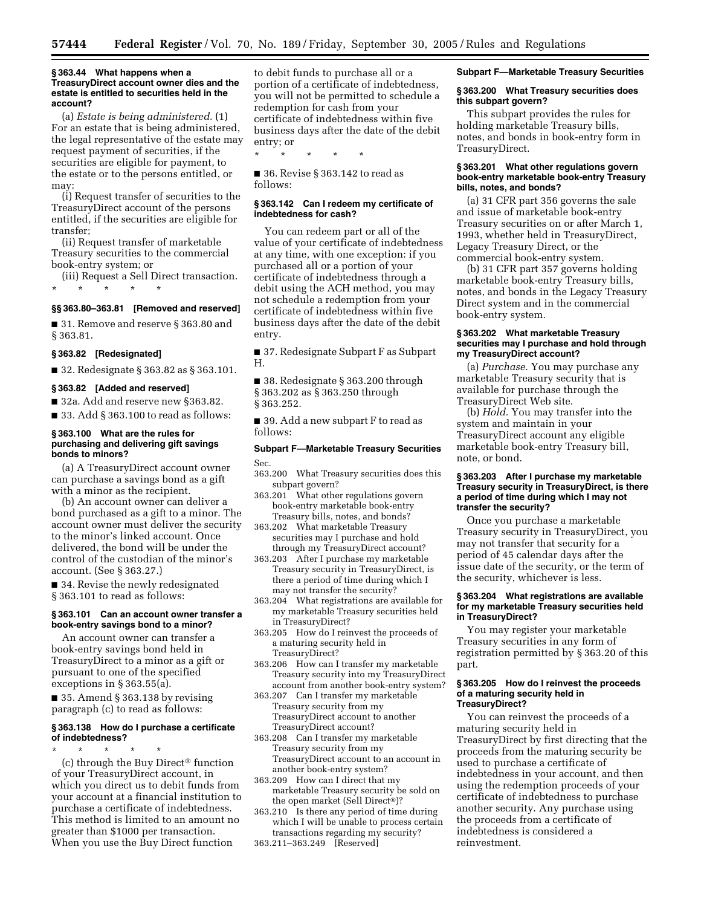#### **§ 363.44 What happens when a TreasuryDirect account owner dies and the estate is entitled to securities held in the account?**

(a) *Estate is being administered.* (1) For an estate that is being administered, the legal representative of the estate may request payment of securities, if the securities are eligible for payment, to the estate or to the persons entitled, or may:

(i) Request transfer of securities to the TreasuryDirect account of the persons entitled, if the securities are eligible for transfer;

(ii) Request transfer of marketable Treasury securities to the commercial book-entry system; or

(iii) Request a Sell Direct transaction.

\* \* \* \* \*

# **§§ 363.80–363.81 [Removed and reserved]**

■ 31. Remove and reserve § 363.80 and § 363.81.

### **§ 363.82 [Redesignated]**

■ 32. Redesignate § 363.82 as § 363.101.

### **§ 363.82 [Added and reserved]**

■ 32a. Add and reserve new §363.82.

■ 33. Add § 363.100 to read as follows:

#### **§ 363.100 What are the rules for purchasing and delivering gift savings bonds to minors?**

(a) A TreasuryDirect account owner can purchase a savings bond as a gift with a minor as the recipient.

(b) An account owner can deliver a bond purchased as a gift to a minor. The account owner must deliver the security to the minor's linked account. Once delivered, the bond will be under the control of the custodian of the minor's account. (See § 363.27.)

■ 34. Revise the newly redesignated § 363.101 to read as follows:

### **§ 363.101 Can an account owner transfer a book-entry savings bond to a minor?**

An account owner can transfer a book-entry savings bond held in TreasuryDirect to a minor as a gift or pursuant to one of the specified exceptions in § 363.55(a).

 $\blacksquare$  35. Amend § 363.138 by revising paragraph (c) to read as follows:

### **§ 363.138 How do I purchase a certificate of indebtedness?**

\* \* \* \* \* (c) through the Buy Direct<sup>®</sup> function of your TreasuryDirect account, in which you direct us to debit funds from your account at a financial institution to purchase a certificate of indebtedness. This method is limited to an amount no greater than \$1000 per transaction. When you use the Buy Direct function

to debit funds to purchase all or a portion of a certificate of indebtedness, you will not be permitted to schedule a redemption for cash from your certificate of indebtedness within five business days after the date of the debit entry; or

■ 36. Revise § 363.142 to read as follows:

\* \* \* \* \*

### **§ 363.142 Can I redeem my certificate of indebtedness for cash?**

You can redeem part or all of the value of your certificate of indebtedness at any time, with one exception: if you purchased all or a portion of your certificate of indebtedness through a debit using the ACH method, you may not schedule a redemption from your certificate of indebtedness within five business days after the date of the debit entry.

■ 37. Redesignate Subpart F as Subpart H.

■ 38. Redesignate § 363.200 through § 363.202 as § 363.250 through § 363.252.

■ 39. Add a new subpart F to read as follows:

### **Subpart F—Marketable Treasury Securities**  Sec.

- 363.200 What Treasury securities does this subpart govern?
- 363.201 What other regulations govern book-entry marketable book-entry Treasury bills, notes, and bonds?
- 363.202 What marketable Treasury securities may I purchase and hold through my TreasuryDirect account?
- 363.203 After I purchase my marketable Treasury security in TreasuryDirect, is there a period of time during which I may not transfer the security?
- 363.204 What registrations are available for my marketable Treasury securities held in TreasuryDirect?
- 363.205 How do I reinvest the proceeds of a maturing security held in TreasuryDirect?
- 363.206 How can I transfer my marketable Treasury security into my TreasuryDirect account from another book-entry system?
- 363.207 Can I transfer my marketable Treasury security from my TreasuryDirect account to another TreasuryDirect account?
- 363.208 Can I transfer my marketable Treasury security from my TreasuryDirect account to an account in another book-entry system?
- 363.209 How can I direct that my marketable Treasury security be sold on the open market (Sell Direct®)?
- 363.210 Is there any period of time during which I will be unable to process certain transactions regarding my security?
- 363.211–363.249 [Reserved]

### **Subpart F—Marketable Treasury Securities**

### **§ 363.200 What Treasury securities does this subpart govern?**

This subpart provides the rules for holding marketable Treasury bills, notes, and bonds in book-entry form in TreasuryDirect.

### **§ 363.201 What other regulations govern book-entry marketable book-entry Treasury bills, notes, and bonds?**

(a) 31 CFR part 356 governs the sale and issue of marketable book-entry Treasury securities on or after March 1, 1993, whether held in TreasuryDirect, Legacy Treasury Direct, or the commercial book-entry system.

(b) 31 CFR part 357 governs holding marketable book-entry Treasury bills, notes, and bonds in the Legacy Treasury Direct system and in the commercial book-entry system.

### **§ 363.202 What marketable Treasury securities may I purchase and hold through my TreasuryDirect account?**

(a) *Purchase.* You may purchase any marketable Treasury security that is available for purchase through the TreasuryDirect Web site.

(b) *Hold.* You may transfer into the system and maintain in your TreasuryDirect account any eligible marketable book-entry Treasury bill, note, or bond.

### **§ 363.203 After I purchase my marketable Treasury security in TreasuryDirect, is there a period of time during which I may not transfer the security?**

Once you purchase a marketable Treasury security in TreasuryDirect, you may not transfer that security for a period of 45 calendar days after the issue date of the security, or the term of the security, whichever is less.

### **§ 363.204 What registrations are available for my marketable Treasury securities held in TreasuryDirect?**

You may register your marketable Treasury securities in any form of registration permitted by § 363.20 of this part.

### **§ 363.205 How do I reinvest the proceeds of a maturing security held in TreasuryDirect?**

You can reinvest the proceeds of a maturing security held in TreasuryDirect by first directing that the proceeds from the maturing security be used to purchase a certificate of indebtedness in your account, and then using the redemption proceeds of your certificate of indebtedness to purchase another security. Any purchase using the proceeds from a certificate of indebtedness is considered a reinvestment.